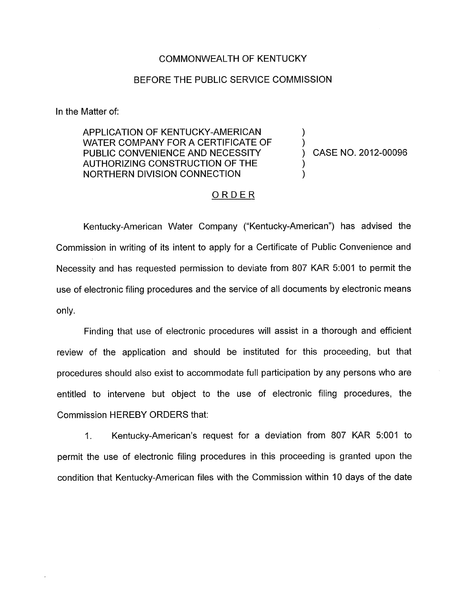## COMMONWEALTH OF KENTUCKY

## BEFORE THE PUBLIC SERVICE COMMISSION

In the Matter of:

APPLICATION OF KENTUCKY-AMERICAN WATER COMPANY FOR A CERTIFICATE OF PUBLIC CONVENIENCE AND NECESSITY  $\qquad \qquad$  CASE NO. 2012-00096 AUTHORIZING CONSTRUCTION OF THE ) NORTHERN DIVISION CONNECTION 1

## ORDER

Kentucky-American Water Company ("Kentucky-American") has advised the Commission in writing of its intent to apply for a Certificate of Public Convenience and Necessity and has requested permission to deviate from 807 KAR 5:001 to permit the use of electronic filing procedures and the service of all documents by electronic means only.

Finding that use of electronic procedures will assist in a thorough and efficient review of the application and should be instituted for this proceeding, but that procedures should also exist to accommodate full participation by any persons who are entitled to intervene but object to the use of electronic filing procedures, the Commission HEREBY ORDERS that:

1. Kentucky-American's request for a deviation from 807 KAR 5:OOl to permit the use of electronic filing procedures in this proceeding is granted upon the condition that Kentucky-American files with the Commission within 10 days of the date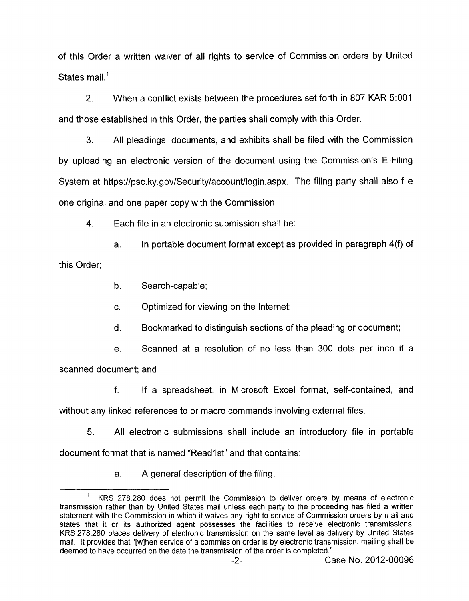of this Order a written waiver of all rights to service of Commission orders by United States mail.<sup>1</sup>

2. When a conflict exists between the procedures set forth in 807 KAR 5:OOl and those established in this Order, the parties shall comply with this Order.

**3.** All pleadings, documents, and exhibits shall be filed with the Commission by uploading an electronic version of the document using the Commission's E-Filing System at <https://psc.ky.gov/Security/account/login.aspx>. The filing party shall also file one original and one paper copy with the Commission.

**4.** Each file in an electronic submission shall be:

a. In portable document format except as provided in paragraph **4(9** of this Order;

b. Search-capable;

c. Optimized for viewing on the Internet;

d. Bookmarked to distinguish sections of the pleading or document;

e. Scanned at a resolution of no less than 300 dots per inch if a scanned document; and

f. If a spreadsheet, in Microsoft Excel format, self-contained, and without any linked references to or macro commands involving external files.

5. All electronic submissions shall include an introductory file in portable document format that is named "Read1st" and that contains:

a. A general description of the filing;

<sup>&#</sup>x27; KRS 278.280 does not permit the Commission to deliver orders by means of electronic transmission rather than by United States mail unless each party to the proceeding has filed a written statement with the Commission in which it waives any right to service of Commission orders by mail and states that it or its authorized agent possesses the facilities to receive electronic transmissions. KRS 278.280 places delivery of electronic transmission on the same level as delivery by United States mail. It provides that "[wlhen service of a commission order is by electronic transmission, mailing shall be deemed to have occurred on the date the transmission of the order is completed."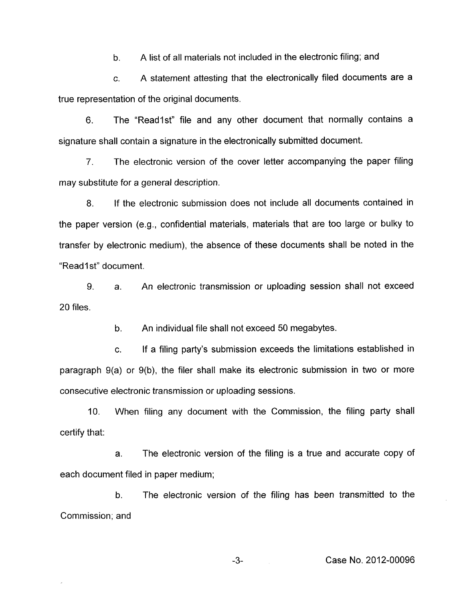b. A list of all materials not included in the electronic filing; and

c. A statement attesting that the electronically filed documents are a true representation of the original documents.

6. The "Readlst" file and any other document that normally contains a signature shall contain a signature in the electronically submitted document.

*7.* The electronic version of the cover letter accompanying the paper filing may substitute for a general description.

8. If the electronic submission does not include all documents contained in the paper version (e.g., confidential materials, materials that are too large or bulky to transfer by electronic medium), the absence of these documents shall be noted in the "Read1st" document.

9. 20 files. a. An electronic transmission or uploading session shall not exceed

> b. An individual file shall not exceed 50 megabytes.

c. If a filing party's submission exceeds the limitations established in paragraph 9(a) or 9(b), the filer shall make its electronic submission in two or more consecutive electronic transmission or uploading sessions.

IO. When filing any document with the Commission, the filing party shall certify that:

a. The electronic version of the filing is a true and accurate copy of each document filed in paper medium;

b. The electronic version of the filing has been transmitted to the Commission; and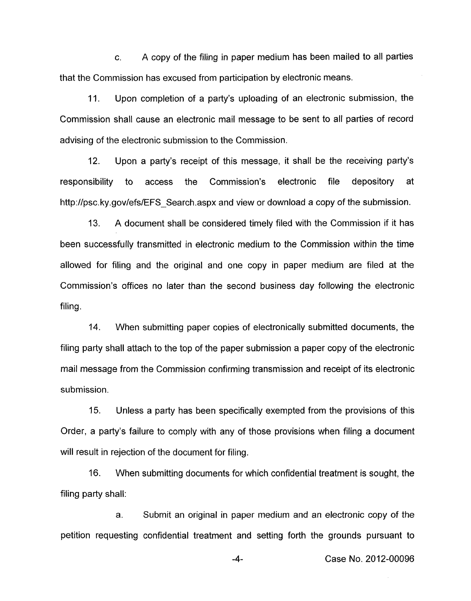c. A copy of the filing in paper medium has been mailed to all parties that the Commission has excused from participation by electronic means.

11. Upon completion of a party's uploading of an electronic submission, the Commission shall cause an electronic mail message to be sent to all parties of record advising of the electronic submission to the Commission.

12. Upon a party's receipt of this message, it shall be the receiving party's responsibility to access the Commission's electronic file depository at [http://psc.](http://psc)ky.gov/efs/EFS Search.aspx and view or download a copy of the submission.

A document shall be considered timely filed with the Commission if it has been successfully transmitted in electronic medium to the Commission within the time allowed for filing and the original and one copy in paper medium are filed at the Commission's offices no later than the second business day following the electronic filing. **13.** 

14. When submitting paper copies of electronically submitted documents, the filing party shall attach to the top of the paper submission a paper copy of the electronic mail message from the Commission confirming transmission and receipt of its electronic submission.

15. Unless a party has been specifically exempted from the provisions of this Order, a party's failure to comply with any of those provisions when filing a document will result in rejection of the document for filing.

16. filing party shall: When submitting documents for which confidential treatment is sought, the

a. Submit an original in paper medium and an electronic copy of the petition requesting confidential treatment and setting forth the grounds pursuant to

**-4-** Case **No.** 2012-00096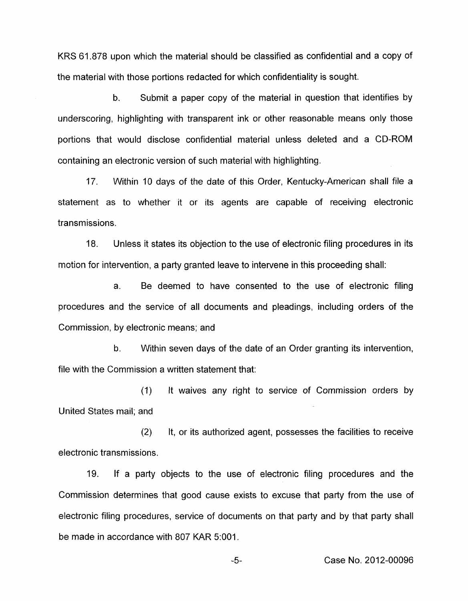KRS **61.878** upon which the material should be classified as confidential and a copy of the material with those portions redacted for which confidentiality is sought.

b. Submit a paper copy of the material in question that identifies by underscoring, highlighting with transparent ink or other reasonable means only those portions that would disclose confidential material unless deleted and a CD-ROM containing an electronic version of such material with highlighting.

**17.** Within **10** days of the date of this Order, Kentucky-American shall file a statement as to whether it or its agents are capable of receiving electronic transmissions.

**18.** Unless it states its objection to the use of electronic filing procedures in its motion for intervention, a party granted leave to intervene in this proceeding shall:

a. Be deemed to have consented to the use of electronic filing procedures and the service of all documents and pleadings, including orders of the Commission, by electronic means; and

b. Within seven days of the date of an Order granting its intervention, file with the Commission a written statement that:

**(1)**  United States mail; and It waives any right to service of Commission orders by

**(2)**  It, or its authorized agent, possesses the facilities to receive electronic transmissions.

**19.** If a party objects to the use of electronic filing procedures and the Commission determines that good cause exists to excuse that party from the use of electronic filing procedures, service of documents on that party and by that party shall be made in accordance with **807** KAR **5:OOl.** 

-5- Case No. **2012-00096**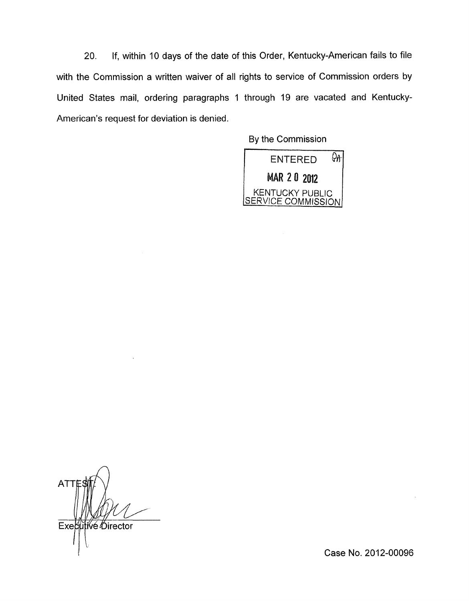20. If, within 10 days of the date of this Order, Kentucky-American fails to file with the Commission a written waiver of all rights to service of Commission orders by United States mail, ordering paragraphs 1 through 19 are vacated and Kentucky-American's request for deviation is denied.

By the Commission



 $\overline{A}$ **ATT** Executive Director

Case **No.** 2012-00096